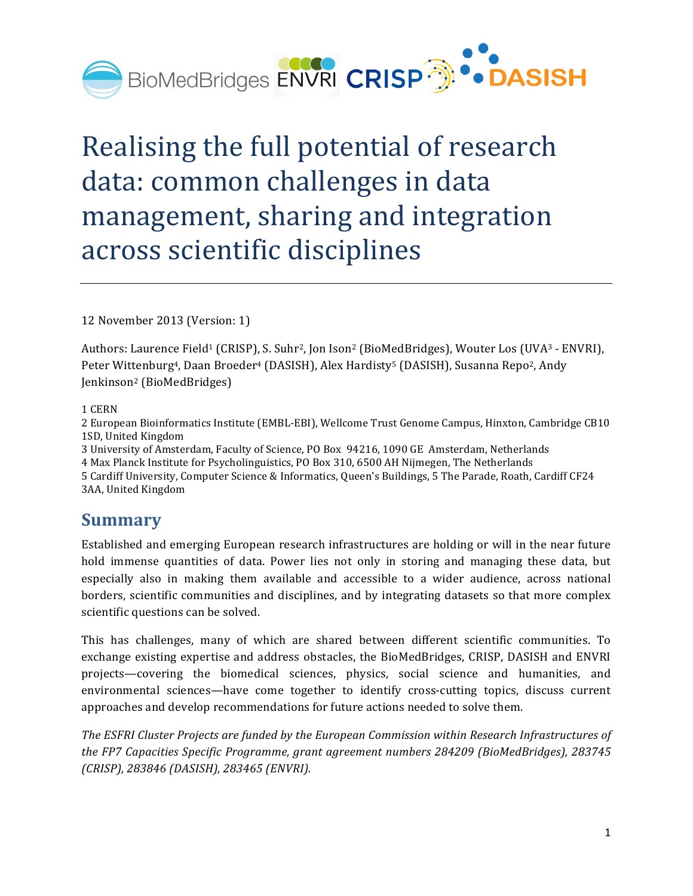

# Realising the full potential of research data: common challenges in data management, sharing and integration across scientific disciplines

12 November 2013 (Version: 1)

Authors: Laurence Field<sup>1</sup> (CRISP), S. Suhr<sup>2</sup>, Jon Ison<sup>2</sup> (BioMedBridges), Wouter Los (UVA<sup>3</sup> - ENVRI), Peter Wittenburg<sup>4</sup>, Daan Broeder<sup>4</sup> (DASISH), Alex Hardisty<sup>5</sup> (DASISH), Susanna Repo<sup>2</sup>, Andy Jenkinson2 (BioMedBridges)

1 CERN

2 European Bioinformatics Institute (EMBL-EBI), Wellcome Trust Genome Campus, Hinxton, Cambridge CB10 1SD, United Kingdom

3 University of Amsterdam, Faculty of Science, PO Box 94216, 1090 GE Amsterdam, Netherlands 4 Max Planck Institute for Psycholinguistics, PO Box 310, 6500 AH Nijmegen, The Netherlands 5 Cardiff University, Computer Science & Informatics, Queen's Buildings, 5 The Parade, Roath, Cardiff CF24 3AA, United Kingdom

#### **Summary**

Established and emerging European research infrastructures are holding or will in the near future hold immense quantities of data. Power lies not only in storing and managing these data, but especially also in making them available and accessible to a wider audience, across national borders, scientific communities and disciplines, and by integrating datasets so that more complex scientific questions can be solved.

This has challenges, many of which are shared between different scientific communities. To exchange existing expertise and address obstacles, the BioMedBridges, CRISP, DASISH and ENVRI projects—covering the biomedical sciences, physics, social science and humanities, and environmental sciences—have come together to identify cross-cutting topics, discuss current approaches and develop recommendations for future actions needed to solve them.

The ESFRI Cluster Projects are funded by the European Commission within Research Infrastructures of the FP7 Capacities Specific Programme, grant agreement numbers 284209 (BioMedBridges), 283745 *(CRISP), 283846 (DASISH), 283465 (ENVRI).*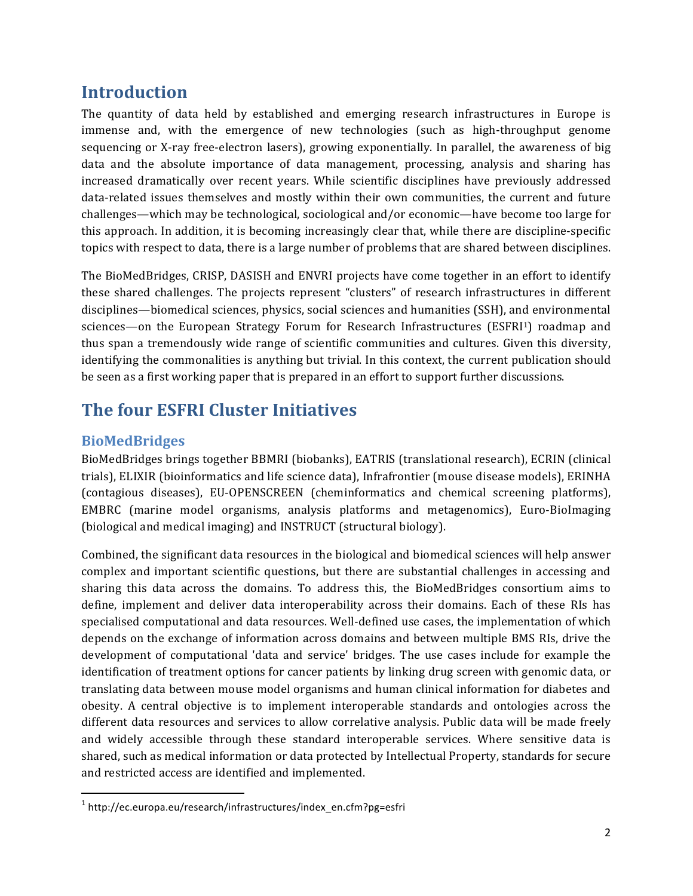## **Introduction**

The quantity of data held by established and emerging research infrastructures in Europe is immense and, with the emergence of new technologies (such as high-throughput genome sequencing or X-ray free-electron lasers), growing exponentially. In parallel, the awareness of big data and the absolute importance of data management, processing, analysis and sharing has increased dramatically over recent years. While scientific disciplines have previously addressed data-related issues themselves and mostly within their own communities, the current and future challenges—which may be technological, sociological and/or economic—have become too large for this approach. In addition, it is becoming increasingly clear that, while there are discipline-specific topics with respect to data, there is a large number of problems that are shared between disciplines.

The BioMedBridges, CRISP, DASISH and ENVRI projects have come together in an effort to identify these shared challenges. The projects represent "clusters" of research infrastructures in different disciplines—biomedical sciences, physics, social sciences and humanities (SSH), and environmental sciences—on the European Strategy Forum for Research Infrastructures (ESFRI1) roadmap and thus span a tremendously wide range of scientific communities and cultures. Given this diversity, identifying the commonalities is anything but trivial. In this context, the current publication should be seen as a first working paper that is prepared in an effort to support further discussions.

# **The four ESFRI Cluster Initiatives**

## **BioMedBridges**

BioMedBridges brings together BBMRI (biobanks), EATRIS (translational research), ECRIN (clinical trials), ELIXIR (bioinformatics and life science data), Infrafrontier (mouse disease models), ERINHA (contagious diseases), EU-OPENSCREEN (cheminformatics and chemical screening platforms), EMBRC (marine model organisms, analysis platforms and metagenomics), Euro-BioImaging (biological and medical imaging) and INSTRUCT (structural biology).

Combined, the significant data resources in the biological and biomedical sciences will help answer complex and important scientific questions, but there are substantial challenges in accessing and sharing this data across the domains. To address this, the BioMedBridges consortium aims to define, implement and deliver data interoperability across their domains. Each of these RIs has specialised computational and data resources. Well-defined use cases, the implementation of which depends on the exchange of information across domains and between multiple BMS RIs, drive the development of computational 'data and service' bridges. The use cases include for example the identification of treatment options for cancer patients by linking drug screen with genomic data, or translating data between mouse model organisms and human clinical information for diabetes and obesity. A central objective is to implement interoperable standards and ontologies across the different data resources and services to allow correlative analysis. Public data will be made freely and widely accessible through these standard interoperable services. Where sensitive data is shared, such as medical information or data protected by Intellectual Property, standards for secure and restricted access are identified and implemented.

<sup>1</sup> http://ec.europa.eu/research/infrastructures/index\_en.cfm?pg=esfri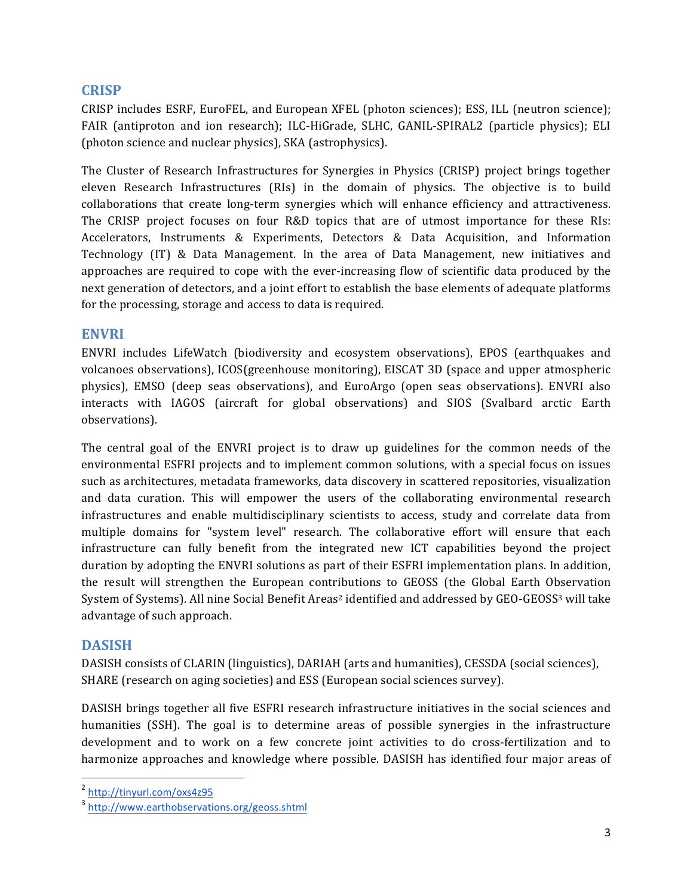#### **CRISP**

CRISP includes ESRF, EuroFEL, and European XFEL (photon sciences); ESS, ILL (neutron science); FAIR (antiproton and ion research); ILC-HiGrade, SLHC, GANIL-SPIRAL2 (particle physics); ELI (photon science and nuclear physics), SKA (astrophysics).

The Cluster of Research Infrastructures for Synergies in Physics (CRISP) project brings together eleven Research Infrastructures (RIs) in the domain of physics. The objective is to build collaborations that create long-term synergies which will enhance efficiency and attractiveness. The CRISP project focuses on four R&D topics that are of utmost importance for these RIs: Accelerators, Instruments & Experiments, Detectors & Data Acquisition, and Information Technology (IT) & Data Management. In the area of Data Management, new initiatives and approaches are required to cope with the ever-increasing flow of scientific data produced by the next generation of detectors, and a joint effort to establish the base elements of adequate platforms for the processing, storage and access to data is required.

#### **ENVRI**

ENVRI includes LifeWatch (biodiversity and ecosystem observations), EPOS (earthquakes and volcanoes observations), ICOS(greenhouse monitoring), EISCAT 3D (space and upper atmospheric physics), EMSO (deep seas observations), and EuroArgo (open seas observations). ENVRI also interacts with IAGOS (aircraft for global observations) and SIOS (Svalbard arctic Earth observations).

The central goal of the ENVRI project is to draw up guidelines for the common needs of the environmental ESFRI projects and to implement common solutions, with a special focus on issues such as architectures, metadata frameworks, data discovery in scattered repositories, visualization and data curation. This will empower the users of the collaborating environmental research infrastructures and enable multidisciplinary scientists to access, study and correlate data from multiple domains for "system level" research. The collaborative effort will ensure that each infrastructure can fully benefit from the integrated new ICT capabilities beyond the project duration by adopting the ENVRI solutions as part of their ESFRI implementation plans. In addition, the result will strengthen the European contributions to GEOSS (the Global Earth Observation System of Systems). All nine Social Benefit Areas<sup>2</sup> identified and addressed by GEO-GEOSS<sup>3</sup> will take advantage of such approach.

#### **DASISH**

DASISH consists of CLARIN (linguistics), DARIAH (arts and humanities), CESSDA (social sciences), SHARE (research on aging societies) and ESS (European social sciences survey).

DASISH brings together all five ESFRI research infrastructure initiatives in the social sciences and humanities (SSH). The goal is to determine areas of possible synergies in the infrastructure development and to work on a few concrete joint activities to do cross-fertilization and to harmonize approaches and knowledge where possible. DASISH has identified four major areas of

<sup>2</sup> http://tinyurl.com/oxs4z95

<sup>3</sup> http://www.earthobservations.org/geoss.shtml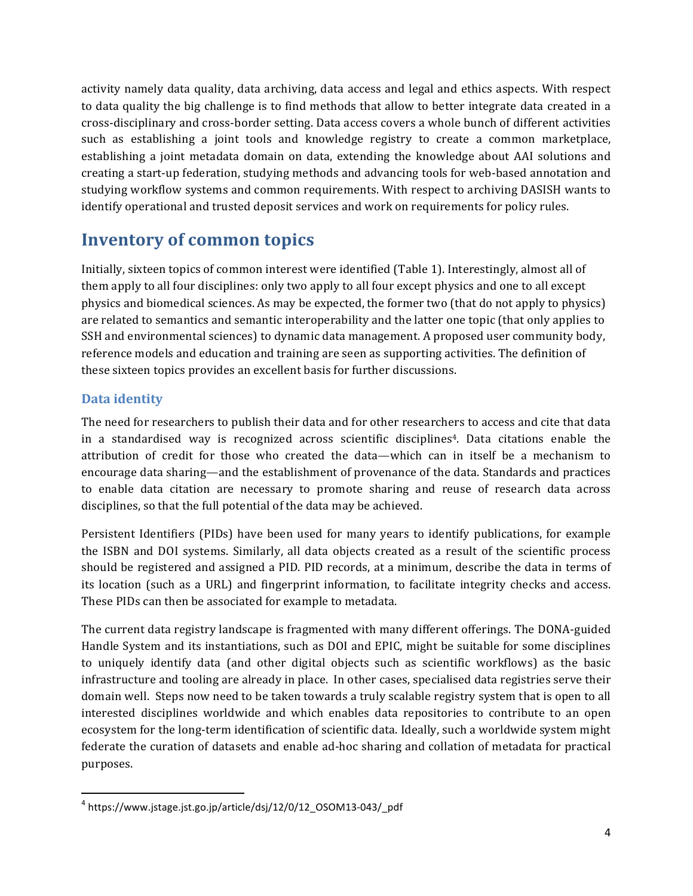activity namely data quality, data archiving, data access and legal and ethics aspects. With respect to data quality the big challenge is to find methods that allow to better integrate data created in a cross-disciplinary and cross-border setting. Data access covers a whole bunch of different activities such as establishing a joint tools and knowledge registry to create a common marketplace, establishing a joint metadata domain on data, extending the knowledge about AAI solutions and creating a start-up federation, studying methods and advancing tools for web-based annotation and studying workflow systems and common requirements. With respect to archiving DASISH wants to identify operational and trusted deposit services and work on requirements for policy rules.

## **Inventory of common topics**

Initially, sixteen topics of common interest were identified (Table 1). Interestingly, almost all of them apply to all four disciplines: only two apply to all four except physics and one to all except physics and biomedical sciences. As may be expected, the former two (that do not apply to physics) are related to semantics and semantic interoperability and the latter one topic (that only applies to SSH and environmental sciences) to dynamic data management. A proposed user community body, reference models and education and training are seen as supporting activities. The definition of these sixteen topics provides an excellent basis for further discussions.

#### **Data identity**

The need for researchers to publish their data and for other researchers to access and cite that data in a standardised way is recognized across scientific disciplines<sup>4</sup>. Data citations enable the attribution of credit for those who created the data—which can in itself be a mechanism to encourage data sharing—and the establishment of provenance of the data. Standards and practices to enable data citation are necessary to promote sharing and reuse of research data across disciplines, so that the full potential of the data may be achieved.

Persistent Identifiers (PIDs) have been used for many years to identify publications, for example the ISBN and DOI systems. Similarly, all data objects created as a result of the scientific process should be registered and assigned a PID. PID records, at a minimum, describe the data in terms of its location (such as a URL) and fingerprint information, to facilitate integrity checks and access. These PIDs can then be associated for example to metadata.

The current data registry landscape is fragmented with many different offerings. The DONA-guided Handle System and its instantiations, such as DOI and EPIC, might be suitable for some disciplines to uniquely identify data (and other digital objects such as scientific workflows) as the basic infrastructure and tooling are already in place. In other cases, specialised data registries serve their domain well. Steps now need to be taken towards a truly scalable registry system that is open to all interested disciplines worldwide and which enables data repositories to contribute to an open ecosystem for the long-term identification of scientific data. Ideally, such a worldwide system might federate the curation of datasets and enable ad-hoc sharing and collation of metadata for practical purposes.

<sup>4</sup> https://www.jstage.jst.go.jp/article/dsj/12/0/12\_OSOM13-043/\_pdf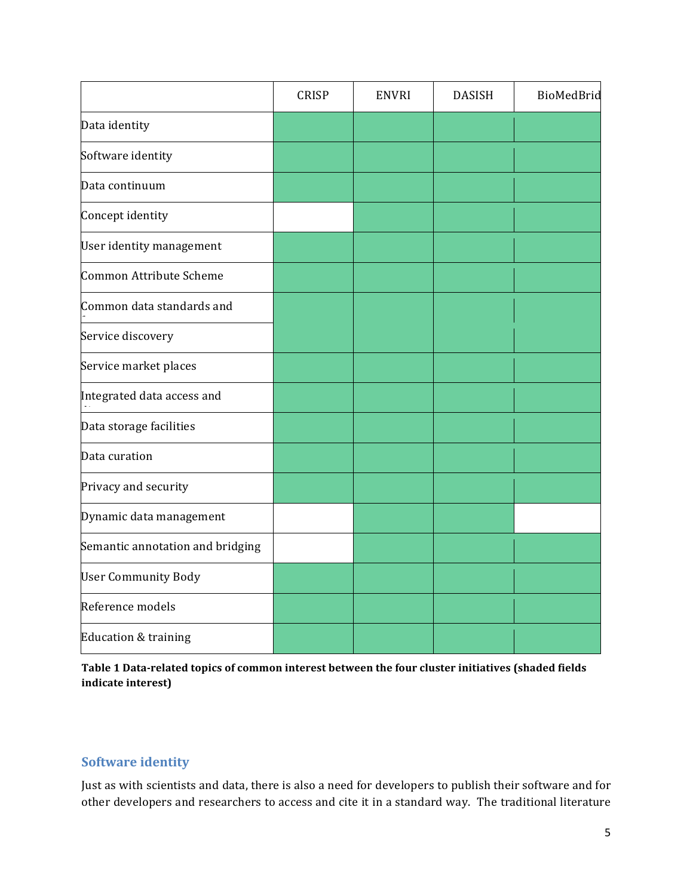|                                  | <b>CRISP</b> | <b>ENVRI</b> | <b>DASISH</b> | BioMedBrid |
|----------------------------------|--------------|--------------|---------------|------------|
| Data identity                    |              |              |               |            |
| Software identity                |              |              |               |            |
| Data continuum                   |              |              |               |            |
| Concept identity                 |              |              |               |            |
| User identity management         |              |              |               |            |
| Common Attribute Scheme          |              |              |               |            |
| Common data standards and        |              |              |               |            |
| Service discovery                |              |              |               |            |
| Service market places            |              |              |               |            |
| Integrated data access and       |              |              |               |            |
| Data storage facilities          |              |              |               |            |
| Data curation                    |              |              |               |            |
| Privacy and security             |              |              |               |            |
| Dynamic data management          |              |              |               |            |
| Semantic annotation and bridging |              |              |               |            |
| <b>User Community Body</b>       |              |              |               |            |
| Reference models                 |              |              |               |            |
| Education & training             |              |              |               |            |

Table 1 Data-related topics of common interest between the four cluster initiatives (shaded fields **indicate interest)** 

#### **Software identity**

Just as with scientists and data, there is also a need for developers to publish their software and for other developers and researchers to access and cite it in a standard way. The traditional literature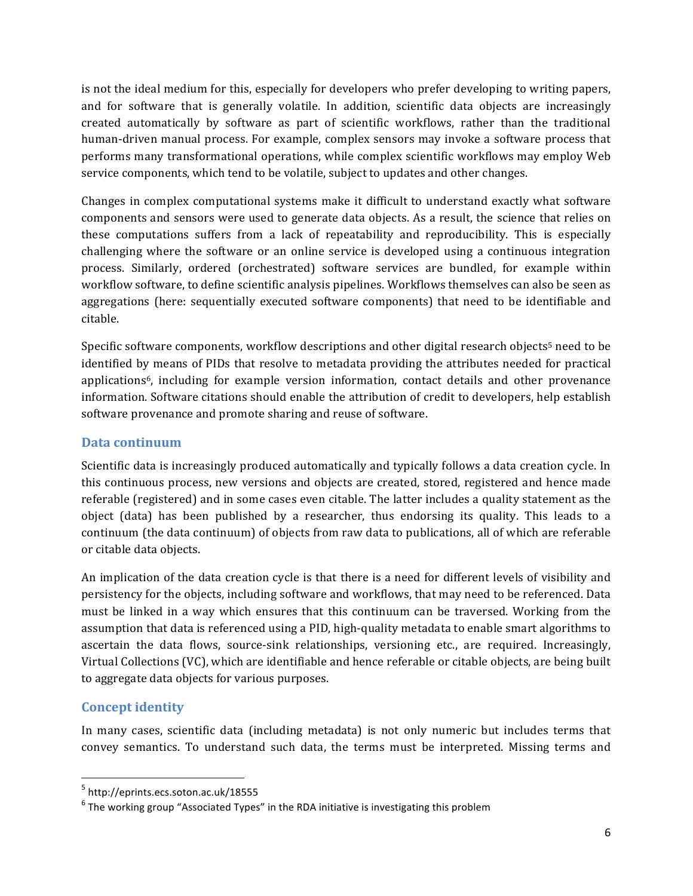is not the ideal medium for this, especially for developers who prefer developing to writing papers, and for software that is generally volatile. In addition, scientific data objects are increasingly created automatically by software as part of scientific workflows, rather than the traditional human-driven manual process. For example, complex sensors may invoke a software process that performs many transformational operations, while complex scientific workflows may employ Web service components, which tend to be volatile, subject to updates and other changes.

Changes in complex computational systems make it difficult to understand exactly what software components and sensors were used to generate data objects. As a result, the science that relies on these computations suffers from a lack of repeatability and reproducibility. This is especially challenging where the software or an online service is developed using a continuous integration process. Similarly, ordered (orchestrated) software services are bundled, for example within workflow software, to define scientific analysis pipelines. Workflows themselves can also be seen as aggregations (here: sequentially executed software components) that need to be identifiable and citable. 

Specific software components, workflow descriptions and other digital research objects<sup>5</sup> need to be identified by means of PIDs that resolve to metadata providing the attributes needed for practical applications<sup>6</sup>, including for example version information, contact details and other provenance information. Software citations should enable the attribution of credit to developers, help establish software provenance and promote sharing and reuse of software.

#### **Data continuum**

Scientific data is increasingly produced automatically and typically follows a data creation cycle. In this continuous process, new versions and objects are created, stored, registered and hence made referable (registered) and in some cases even citable. The latter includes a quality statement as the object (data) has been published by a researcher, thus endorsing its quality. This leads to a continuum (the data continuum) of objects from raw data to publications, all of which are referable or citable data objects.

An implication of the data creation cycle is that there is a need for different levels of visibility and persistency for the objects, including software and workflows, that may need to be referenced. Data must be linked in a way which ensures that this continuum can be traversed. Working from the assumption that data is referenced using a PID, high-quality metadata to enable smart algorithms to ascertain the data flows, source-sink relationships, versioning etc., are required. Increasingly, Virtual Collections (VC), which are identifiable and hence referable or citable objects, are being built to aggregate data objects for various purposes.

#### **Concept identity**

In many cases, scientific data (including metadata) is not only numeric but includes terms that convey semantics. To understand such data, the terms must be interpreted. Missing terms and

<sup>&</sup>lt;u> 1989 - Johann Stein, markin film yn y breninn y breninn y breninn y breninn y breninn y breninn y breninn y b</u> <sup>5</sup> http://eprints.ecs.soton.ac.uk/18555

 $6$  The working group "Associated Types" in the RDA initiative is investigating this problem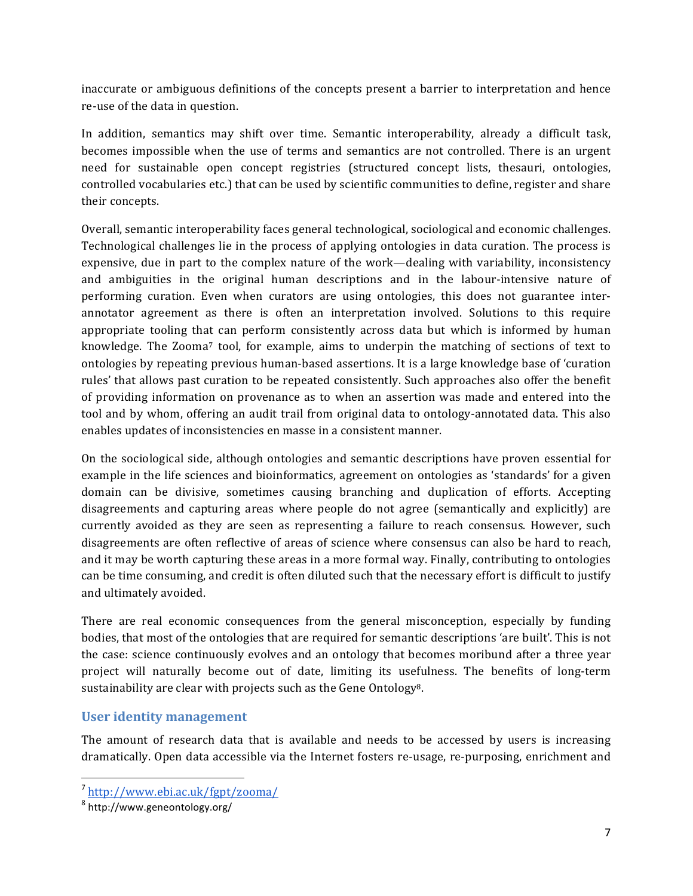inaccurate or ambiguous definitions of the concepts present a barrier to interpretation and hence re-use of the data in question.

In addition, semantics may shift over time. Semantic interoperability, already a difficult task, becomes impossible when the use of terms and semantics are not controlled. There is an urgent need for sustainable open concept registries (structured concept lists, thesauri, ontologies, controlled vocabularies etc.) that can be used by scientific communities to define, register and share their concepts.

Overall, semantic interoperability faces general technological, sociological and economic challenges. Technological challenges lie in the process of applying ontologies in data curation. The process is expensive, due in part to the complex nature of the work—dealing with variability, inconsistency and ambiguities in the original human descriptions and in the labour-intensive nature of performing curation. Even when curators are using ontologies, this does not guarantee interannotator agreement as there is often an interpretation involved. Solutions to this require appropriate tooling that can perform consistently across data but which is informed by human knowledge. The Zooma<sup>7</sup> tool, for example, aims to underpin the matching of sections of text to ontologies by repeating previous human-based assertions. It is a large knowledge base of 'curation rules' that allows past curation to be repeated consistently. Such approaches also offer the benefit of providing information on provenance as to when an assertion was made and entered into the tool and by whom, offering an audit trail from original data to ontology-annotated data. This also enables updates of inconsistencies en masse in a consistent manner.

On the sociological side, although ontologies and semantic descriptions have proven essential for example in the life sciences and bioinformatics, agreement on ontologies as 'standards' for a given domain can be divisive, sometimes causing branching and duplication of efforts. Accepting disagreements and capturing areas where people do not agree (semantically and explicitly) are currently avoided as they are seen as representing a failure to reach consensus. However, such disagreements are often reflective of areas of science where consensus can also be hard to reach, and it may be worth capturing these areas in a more formal way. Finally, contributing to ontologies can be time consuming, and credit is often diluted such that the necessary effort is difficult to justify and ultimately avoided.

There are real economic consequences from the general misconception, especially by funding bodies, that most of the ontologies that are required for semantic descriptions 'are built'. This is not the case: science continuously evolves and an ontology that becomes moribund after a three year project will naturally become out of date, limiting its usefulness. The benefits of long-term sustainability are clear with projects such as the Gene Ontology<sup>8</sup>.

#### User identity management

The amount of research data that is available and needs to be accessed by users is increasing dramatically. Open data accessible via the Internet fosters re-usage, re-purposing, enrichment and

<sup>7</sup> http://www.ebi.ac.uk/fgpt/zooma/

<sup>8</sup> http://www.geneontology.org/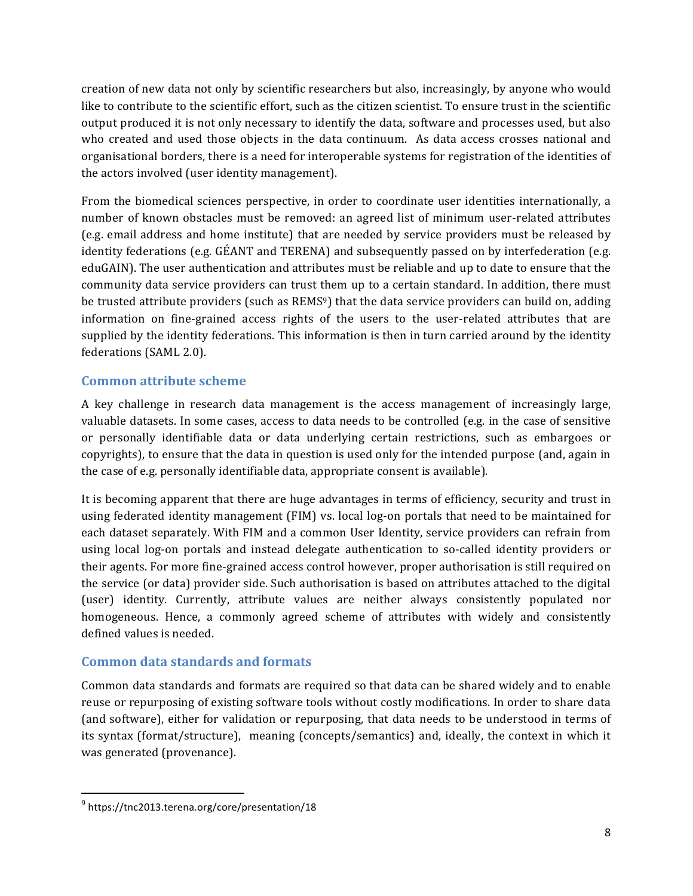creation of new data not only by scientific researchers but also, increasingly, by anyone who would like to contribute to the scientific effort, such as the citizen scientist. To ensure trust in the scientific output produced it is not only necessary to identify the data, software and processes used, but also who created and used those objects in the data continuum. As data access crosses national and organisational borders, there is a need for interoperable systems for registration of the identities of the actors involved (user identity management).

From the biomedical sciences perspective, in order to coordinate user identities internationally, a number of known obstacles must be removed: an agreed list of minimum user-related attributes (e.g. email address and home institute) that are needed by service providers must be released by identity federations (e.g.  $GÉANT$  and TERENA) and subsequently passed on by interfederation (e.g. eduGAIN). The user authentication and attributes must be reliable and up to date to ensure that the community data service providers can trust them up to a certain standard. In addition, there must be trusted attribute providers (such as  $REMS<sup>9</sup>$ ) that the data service providers can build on, adding information on fine-grained access rights of the users to the user-related attributes that are supplied by the identity federations. This information is then in turn carried around by the identity federations (SAML 2.0).

#### **Common attribute scheme**

A key challenge in research data management is the access management of increasingly large, valuable datasets. In some cases, access to data needs to be controlled (e.g. in the case of sensitive or personally identifiable data or data underlying certain restrictions, such as embargoes or copyrights), to ensure that the data in question is used only for the intended purpose (and, again in the case of e.g. personally identifiable data, appropriate consent is available).

It is becoming apparent that there are huge advantages in terms of efficiency, security and trust in using federated identity management (FIM) vs. local log-on portals that need to be maintained for each dataset separately. With FIM and a common User Identity, service providers can refrain from using local log-on portals and instead delegate authentication to so-called identity providers or their agents. For more fine-grained access control however, proper authorisation is still required on the service (or data) provider side. Such authorisation is based on attributes attached to the digital (user) identity. Currently, attribute values are neither always consistently populated nor homogeneous. Hence, a commonly agreed scheme of attributes with widely and consistently defined values is needed.

#### **Common data standards and formats**

Common data standards and formats are required so that data can be shared widely and to enable reuse or repurposing of existing software tools without costly modifications. In order to share data (and software), either for validation or repurposing, that data needs to be understood in terms of its syntax (format/structure), meaning (concepts/semantics) and, ideally, the context in which it was generated (provenance).

<sup>9</sup> https://tnc2013.terena.org/core/presentation/18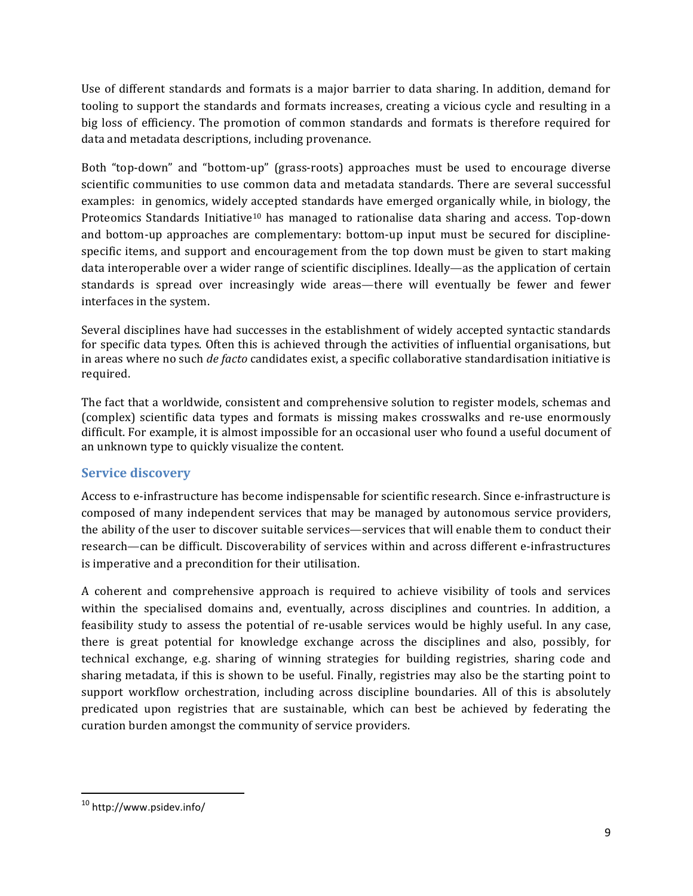Use of different standards and formats is a major barrier to data sharing. In addition, demand for tooling to support the standards and formats increases, creating a vicious cycle and resulting in a big loss of efficiency. The promotion of common standards and formats is therefore required for data and metadata descriptions, including provenance.

Both "top-down" and "bottom-up" (grass-roots) approaches must be used to encourage diverse scientific communities to use common data and metadata standards. There are several successful examples: in genomics, widely accepted standards have emerged organically while, in biology, the Proteomics Standards Initiative<sup>10</sup> has managed to rationalise data sharing and access. Top-down and bottom-up approaches are complementary: bottom-up input must be secured for disciplinespecific items, and support and encouragement from the top down must be given to start making data interoperable over a wider range of scientific disciplines. Ideally—as the application of certain standards is spread over increasingly wide areas—there will eventually be fewer and fewer interfaces in the system.

Several disciplines have had successes in the establishment of widely accepted syntactic standards for specific data types. Often this is achieved through the activities of influential organisations, but in areas where no such *de facto* candidates exist, a specific collaborative standardisation initiative is required.

The fact that a worldwide, consistent and comprehensive solution to register models, schemas and (complex) scientific data types and formats is missing makes crosswalks and re-use enormously difficult. For example, it is almost impossible for an occasional user who found a useful document of an unknown type to quickly visualize the content.

#### **Service discovery**

Access to e-infrastructure has become indispensable for scientific research. Since e-infrastructure is composed of many independent services that may be managed by autonomous service providers, the ability of the user to discover suitable services—services that will enable them to conduct their research—can be difficult. Discoverability of services within and across different e-infrastructures is imperative and a precondition for their utilisation.

A coherent and comprehensive approach is required to achieve visibility of tools and services within the specialised domains and, eventually, across disciplines and countries. In addition, a feasibility study to assess the potential of re-usable services would be highly useful. In any case, there is great potential for knowledge exchange across the disciplines and also, possibly, for technical exchange, e.g. sharing of winning strategies for building registries, sharing code and sharing metadata, if this is shown to be useful. Finally, registries may also be the starting point to support workflow orchestration, including across discipline boundaries. All of this is absolutely predicated upon registries that are sustainable, which can best be achieved by federating the curation burden amongst the community of service providers.

<sup>10</sup> http://www.psidev.info/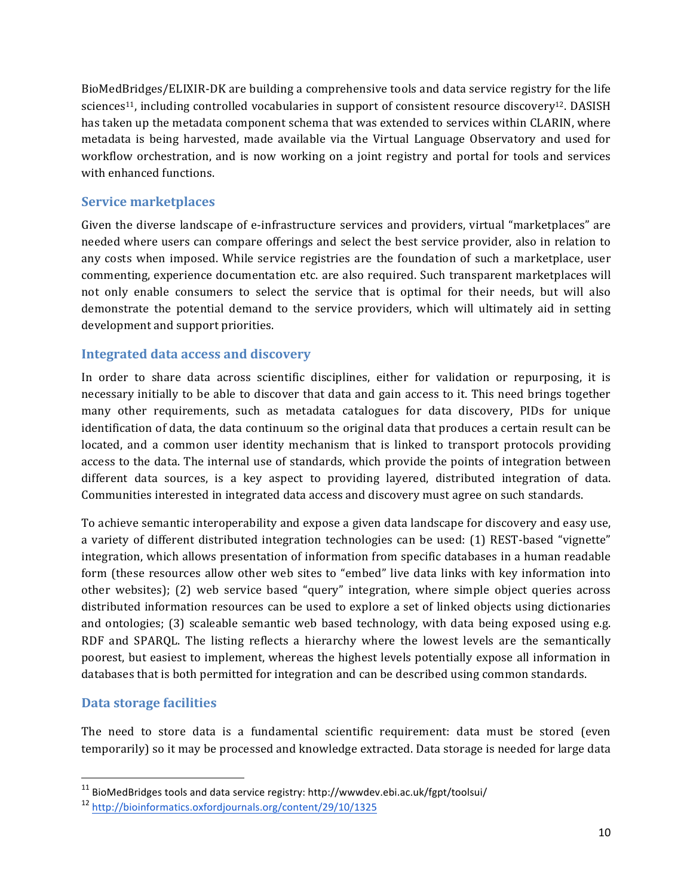BioMedBridges/ELIXIR-DK are building a comprehensive tools and data service registry for the life sciences<sup>11</sup>, including controlled vocabularies in support of consistent resource discovery<sup>12</sup>. DASISH has taken up the metadata component schema that was extended to services within CLARIN, where metadata is being harvested, made available via the Virtual Language Observatory and used for workflow orchestration, and is now working on a joint registry and portal for tools and services with enhanced functions.

#### **Service marketplaces**

Given the diverse landscape of e-infrastructure services and providers, virtual "marketplaces" are needed where users can compare offerings and select the best service provider, also in relation to any costs when imposed. While service registries are the foundation of such a marketplace, user commenting, experience documentation etc. are also required. Such transparent marketplaces will not only enable consumers to select the service that is optimal for their needs, but will also demonstrate the potential demand to the service providers, which will ultimately aid in setting development and support priorities.

#### **Integrated data access and discovery**

In order to share data across scientific disciplines, either for validation or repurposing, it is necessary initially to be able to discover that data and gain access to it. This need brings together many other requirements, such as metadata catalogues for data discovery, PIDs for unique identification of data, the data continuum so the original data that produces a certain result can be located, and a common user identity mechanism that is linked to transport protocols providing access to the data. The internal use of standards, which provide the points of integration between different data sources, is a key aspect to providing layered, distributed integration of data. Communities interested in integrated data access and discovery must agree on such standards.

To achieve semantic interoperability and expose a given data landscape for discovery and easy use, a variety of different distributed integration technologies can be used: (1) REST-based "vignette" integration, which allows presentation of information from specific databases in a human readable form (these resources allow other web sites to "embed" live data links with key information into other websites); (2) web service based "query" integration, where simple object queries across distributed information resources can be used to explore a set of linked objects using dictionaries and ontologies;  $(3)$  scaleable semantic web based technology, with data being exposed using e.g. RDF and SPARQL. The listing reflects a hierarchy where the lowest levels are the semantically poorest, but easiest to implement, whereas the highest levels potentially expose all information in databases that is both permitted for integration and can be described using common standards.

#### **Data storage facilities**

<u> 1989 - Johann Stein, markin film yn y breninn y breninn y breninn y breninn y breninn y breninn y breninn y b</u>

The need to store data is a fundamental scientific requirement: data must be stored (even temporarily) so it may be processed and knowledge extracted. Data storage is needed for large data

 $11$  BioMedBridges tools and data service registry: http://wwwdev.ebi.ac.uk/fgpt/toolsui/

<sup>12</sup> http://bioinformatics.oxfordjournals.org/content/29/10/1325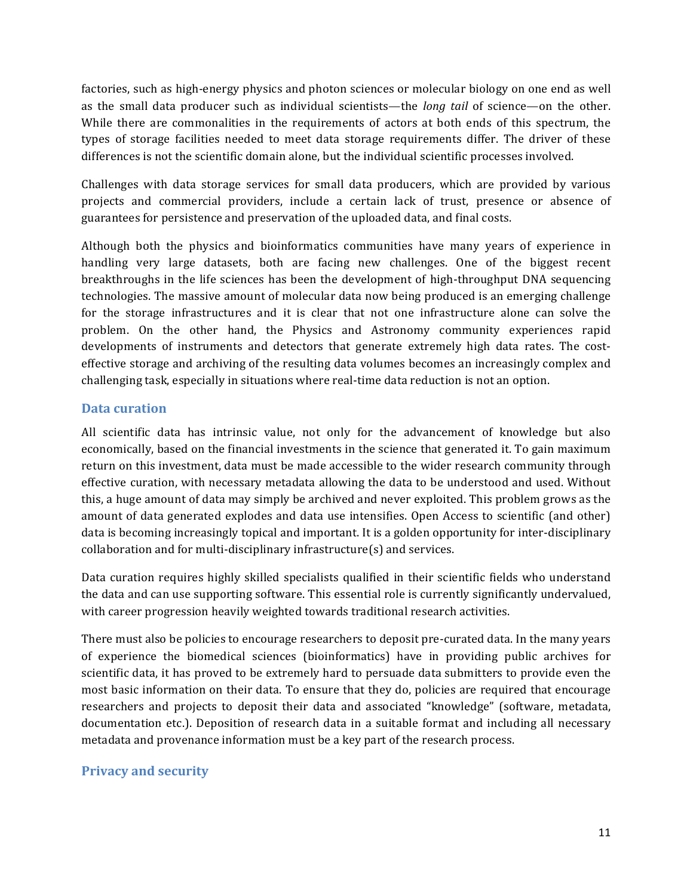factories, such as high-energy physics and photon sciences or molecular biology on one end as well as the small data producer such as individual scientists—the *long tail* of science—on the other. While there are commonalities in the requirements of actors at both ends of this spectrum, the types of storage facilities needed to meet data storage requirements differ. The driver of these differences is not the scientific domain alone, but the individual scientific processes involved.

Challenges with data storage services for small data producers, which are provided by various projects and commercial providers, include a certain lack of trust, presence or absence of guarantees for persistence and preservation of the uploaded data, and final costs.

Although both the physics and bioinformatics communities have many years of experience in handling very large datasets, both are facing new challenges. One of the biggest recent breakthroughs in the life sciences has been the development of high-throughput DNA sequencing technologies. The massive amount of molecular data now being produced is an emerging challenge for the storage infrastructures and it is clear that not one infrastructure alone can solve the problem. On the other hand, the Physics and Astronomy community experiences rapid developments of instruments and detectors that generate extremely high data rates. The costeffective storage and archiving of the resulting data volumes becomes an increasingly complex and challenging task, especially in situations where real-time data reduction is not an option.

#### **Data curation**

All scientific data has intrinsic value, not only for the advancement of knowledge but also economically, based on the financial investments in the science that generated it. To gain maximum return on this investment, data must be made accessible to the wider research community through effective curation, with necessary metadata allowing the data to be understood and used. Without this, a huge amount of data may simply be archived and never exploited. This problem grows as the amount of data generated explodes and data use intensifies. Open Access to scientific (and other) data is becoming increasingly topical and important. It is a golden opportunity for inter-disciplinary  $collaboration$  and for multi-disciplinary infrastructure(s) and services.

Data curation requires highly skilled specialists qualified in their scientific fields who understand the data and can use supporting software. This essential role is currently significantly undervalued, with career progression heavily weighted towards traditional research activities.

There must also be policies to encourage researchers to deposit pre-curated data. In the many years of experience the biomedical sciences (bioinformatics) have in providing public archives for scientific data, it has proved to be extremely hard to persuade data submitters to provide even the most basic information on their data. To ensure that they do, policies are required that encourage researchers and projects to deposit their data and associated "knowledge" (software, metadata, documentation etc.). Deposition of research data in a suitable format and including all necessary metadata and provenance information must be a key part of the research process.

#### **Privacy and security**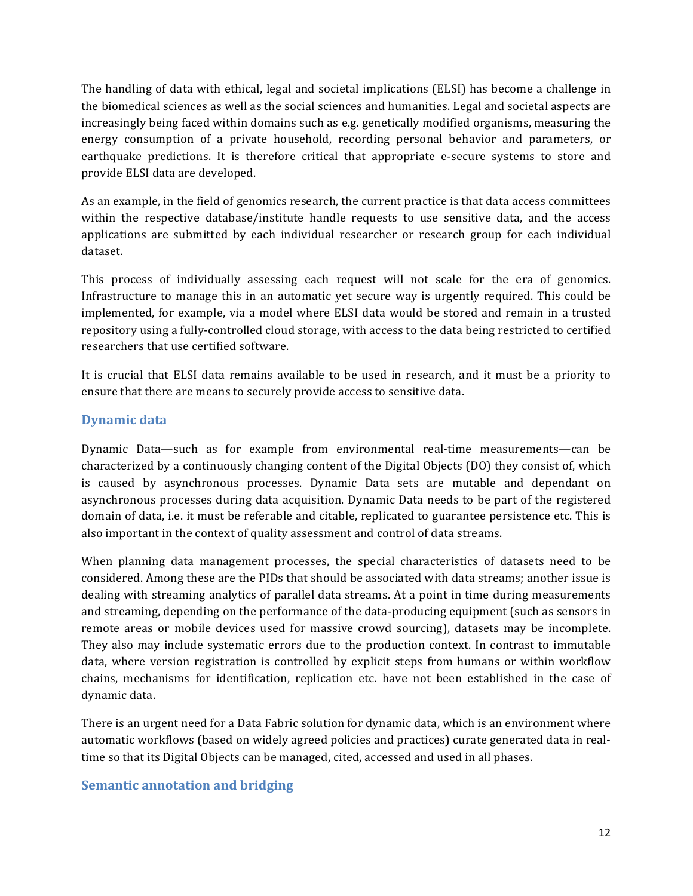The handling of data with ethical, legal and societal implications (ELSI) has become a challenge in the biomedical sciences as well as the social sciences and humanities. Legal and societal aspects are increasingly being faced within domains such as e.g. genetically modified organisms, measuring the energy consumption of a private household, recording personal behavior and parameters, or earthquake predictions. It is therefore critical that appropriate e-secure systems to store and provide ELSI data are developed.

As an example, in the field of genomics research, the current practice is that data access committees within the respective database/institute handle requests to use sensitive data, and the access applications are submitted by each individual researcher or research group for each individual dataset. 

This process of individually assessing each request will not scale for the era of genomics. Infrastructure to manage this in an automatic yet secure way is urgently required. This could be implemented, for example, via a model where ELSI data would be stored and remain in a trusted repository using a fully-controlled cloud storage, with access to the data being restricted to certified researchers that use certified software.

It is crucial that ELSI data remains available to be used in research, and it must be a priority to ensure that there are means to securely provide access to sensitive data.

#### **Dynamic data**

Dynamic Data—such as for example from environmental real-time measurements—can be characterized by a continuously changing content of the Digital Objects (DO) they consist of, which is caused by asynchronous processes. Dynamic Data sets are mutable and dependant on asynchronous processes during data acquisition. Dynamic Data needs to be part of the registered domain of data, i.e. it must be referable and citable, replicated to guarantee persistence etc. This is also important in the context of quality assessment and control of data streams.

When planning data management processes, the special characteristics of datasets need to be considered. Among these are the PIDs that should be associated with data streams; another issue is dealing with streaming analytics of parallel data streams. At a point in time during measurements and streaming, depending on the performance of the data-producing equipment (such as sensors in remote areas or mobile devices used for massive crowd sourcing), datasets may be incomplete. They also may include systematic errors due to the production context. In contrast to immutable data, where version registration is controlled by explicit steps from humans or within workflow chains, mechanisms for identification, replication etc. have not been established in the case of dynamic data.

There is an urgent need for a Data Fabric solution for dynamic data, which is an environment where automatic workflows (based on widely agreed policies and practices) curate generated data in realtime so that its Digital Objects can be managed, cited, accessed and used in all phases.

#### **Semantic annotation and bridging**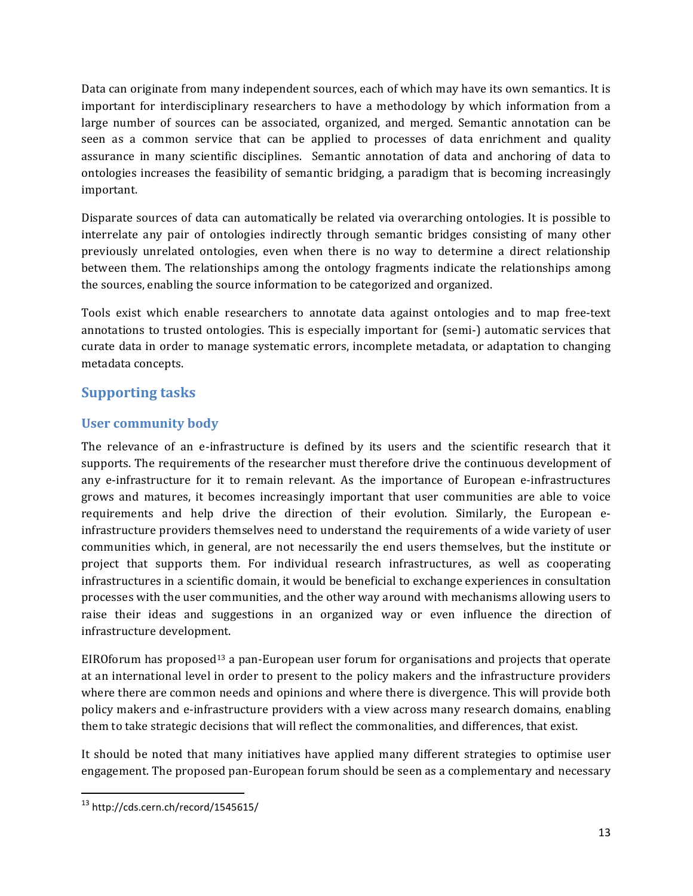Data can originate from many independent sources, each of which may have its own semantics. It is important for interdisciplinary researchers to have a methodology by which information from a large number of sources can be associated, organized, and merged. Semantic annotation can be seen as a common service that can be applied to processes of data enrichment and quality assurance in many scientific disciplines. Semantic annotation of data and anchoring of data to ontologies increases the feasibility of semantic bridging, a paradigm that is becoming increasingly important.

Disparate sources of data can automatically be related via overarching ontologies. It is possible to interrelate any pair of ontologies indirectly through semantic bridges consisting of many other previously unrelated ontologies, even when there is no way to determine a direct relationship between them. The relationships among the ontology fragments indicate the relationships among the sources, enabling the source information to be categorized and organized.

Tools exist which enable researchers to annotate data against ontologies and to map free-text annotations to trusted ontologies. This is especially important for (semi-) automatic services that curate data in order to manage systematic errors, incomplete metadata, or adaptation to changing metadata concepts.

## **Supporting tasks**

#### User community body

The relevance of an e-infrastructure is defined by its users and the scientific research that it supports. The requirements of the researcher must therefore drive the continuous development of any e-infrastructure for it to remain relevant. As the importance of European e-infrastructures grows and matures, it becomes increasingly important that user communities are able to voice requirements and help drive the direction of their evolution. Similarly, the European einfrastructure providers themselves need to understand the requirements of a wide variety of user communities which, in general, are not necessarily the end users themselves, but the institute or project that supports them. For individual research infrastructures, as well as cooperating infrastructures in a scientific domain, it would be beneficial to exchange experiences in consultation processes with the user communities, and the other way around with mechanisms allowing users to raise their ideas and suggestions in an organized way or even influence the direction of infrastructure development.

EIROforum has proposed<sup>13</sup> a pan-European user forum for organisations and projects that operate at an international level in order to present to the policy makers and the infrastructure providers where there are common needs and opinions and where there is divergence. This will provide both policy makers and e-infrastructure providers with a view across many research domains, enabling them to take strategic decisions that will reflect the commonalities, and differences, that exist.

It should be noted that many initiatives have applied many different strategies to optimise user engagement. The proposed pan-European forum should be seen as a complementary and necessary

<sup>13</sup> http://cds.cern.ch/record/1545615/